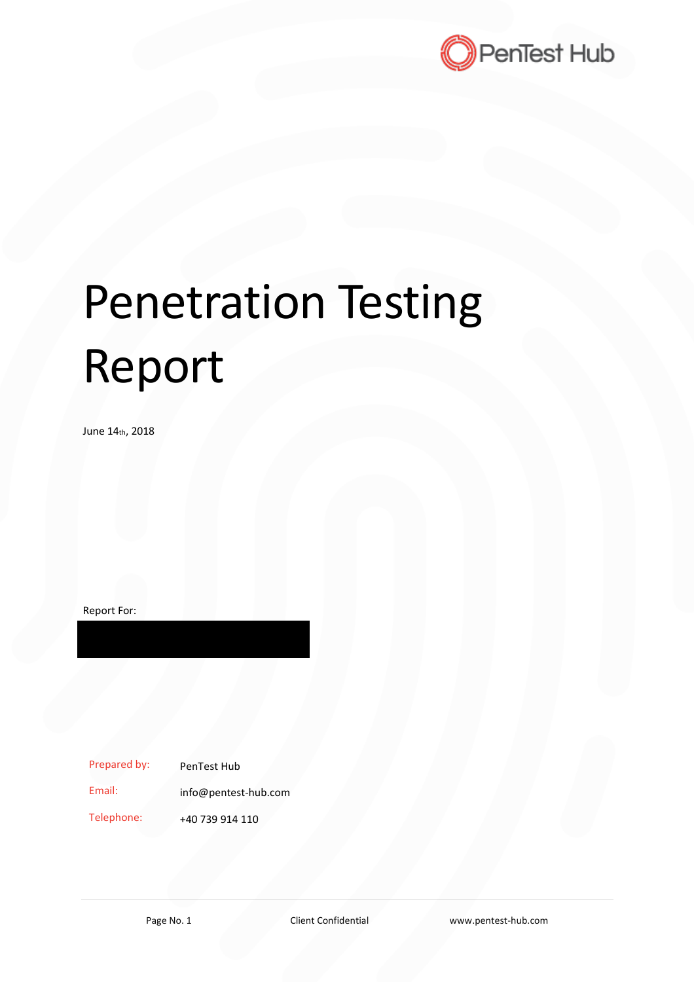

# Penetration Testing Report

June 14th, 2018

Report For:

Prepared by: PenTest Hub Email: info@pentest-hub.com Telephone: +40 739 914 110

Page No. 1 Client Confidential www.pentest-hub.com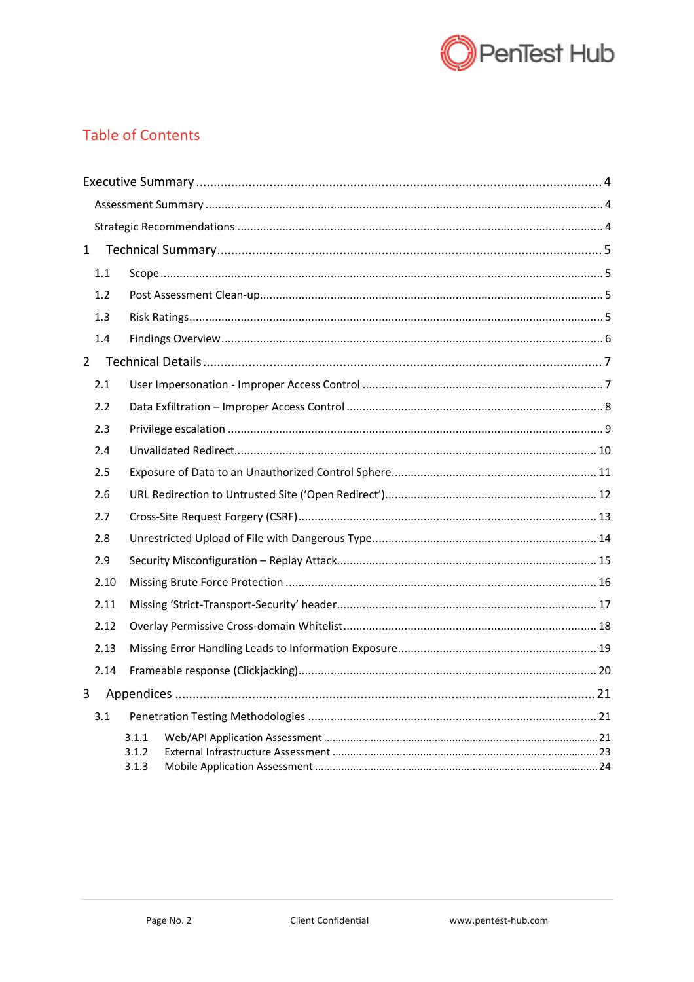

# **Table of Contents**

| $\mathbf{1}$ |      |                         |  |  |  |
|--------------|------|-------------------------|--|--|--|
|              | 1.1  |                         |  |  |  |
|              | 1.2  |                         |  |  |  |
|              | 1.3  |                         |  |  |  |
|              | 1.4  |                         |  |  |  |
| $2^{\circ}$  |      |                         |  |  |  |
|              | 2.1  |                         |  |  |  |
|              | 2.2  |                         |  |  |  |
|              | 2.3  |                         |  |  |  |
|              | 2.4  |                         |  |  |  |
|              | 2.5  |                         |  |  |  |
|              | 2.6  |                         |  |  |  |
|              | 2.7  |                         |  |  |  |
|              | 2.8  |                         |  |  |  |
|              | 2.9  |                         |  |  |  |
|              | 2.10 |                         |  |  |  |
|              | 2.11 |                         |  |  |  |
|              | 2.12 |                         |  |  |  |
|              | 2.13 |                         |  |  |  |
|              | 2.14 |                         |  |  |  |
| 3            |      |                         |  |  |  |
|              | 3.1  |                         |  |  |  |
|              |      | 3.1.1<br>3.1.2<br>3.1.3 |  |  |  |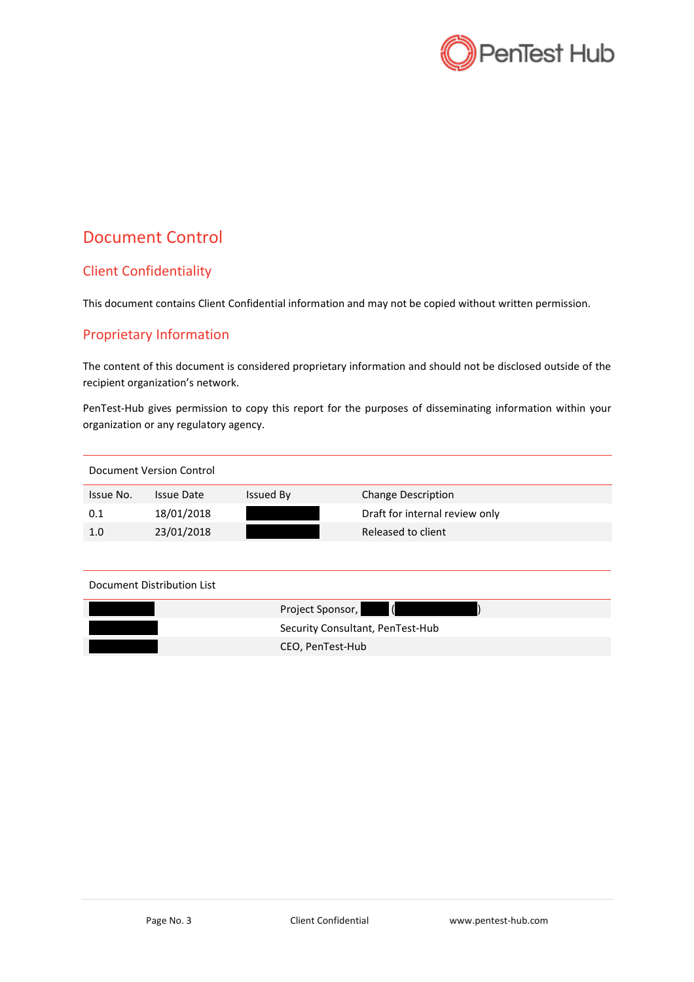

# Document Control

# Client Confidentiality

This document contains Client Confidential information and may not be copied without written permission.

# Proprietary Information

The content of this document is considered proprietary information and should not be disclosed outside of the recipient organization's network.

PenTest-Hub gives permission to copy this report for the purposes of disseminating information within your organization or any regulatory agency.

| Document Version Control |            |                  |                                |  |  |
|--------------------------|------------|------------------|--------------------------------|--|--|
| Issue No.                | Issue Date | <b>Issued By</b> | <b>Change Description</b>      |  |  |
| 0.1                      | 18/01/2018 |                  | Draft for internal review only |  |  |
| 1.0                      | 23/01/2018 |                  | Released to client             |  |  |

| Document Distribution List |                                  |  |
|----------------------------|----------------------------------|--|
|                            | Project Sponsor, (               |  |
|                            | Security Consultant, PenTest-Hub |  |
|                            | CEO, PenTest-Hub                 |  |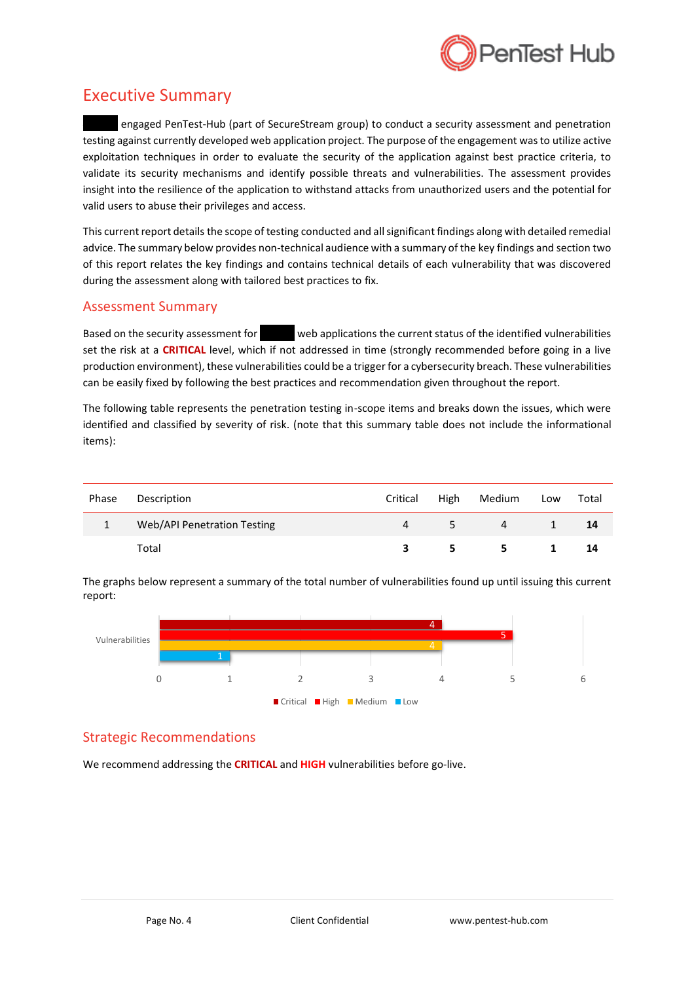

# <span id="page-3-0"></span>Executive Summary

engaged PenTest-Hub (part of SecureStream group) to conduct a security assessment and penetration testing against currently developed web application project. The purpose of the engagement was to utilize active exploitation techniques in order to evaluate the security of the application against best practice criteria, to validate its security mechanisms and identify possible threats and vulnerabilities. The assessment provides insight into the resilience of the application to withstand attacks from unauthorized users and the potential for valid users to abuse their privileges and access.

This current report details the scope of testing conducted and all significant findings along with detailed remedial advice. The summary below provides non-technical audience with a summary of the key findings and section two of this report relates the key findings and contains technical details of each vulnerability that was discovered during the assessment along with tailored best practices to fix.

#### <span id="page-3-1"></span>Assessment Summary

Based on the security assessment for **\*\*\*** web applications the current status of the identified vulnerabilities set the risk at a **CRITICAL** level, which if not addressed in time (strongly recommended before going in a live production environment), these vulnerabilities could be a trigger for a cybersecurity breach. These vulnerabilities can be easily fixed by following the best practices and recommendation given throughout the report.

The following table represents the penetration testing in-scope items and breaks down the issues, which were identified and classified by severity of risk. (note that this summary table does not include the informational items):

| Phase | Description                        | Critical | <b>High</b> | Medium | Low | Total |
|-------|------------------------------------|----------|-------------|--------|-----|-------|
|       | <b>Web/API Penetration Testing</b> | 4        | 5.          | 4      |     | 14    |
|       | Total                              |          | 5.          | 5.     |     | 14    |

The graphs below represent a summary of the total number of vulnerabilities found up until issuing this current report:



# <span id="page-3-2"></span>Strategic Recommendations

We recommend addressing the **CRITICAL** and **HIGH** vulnerabilities before go-live.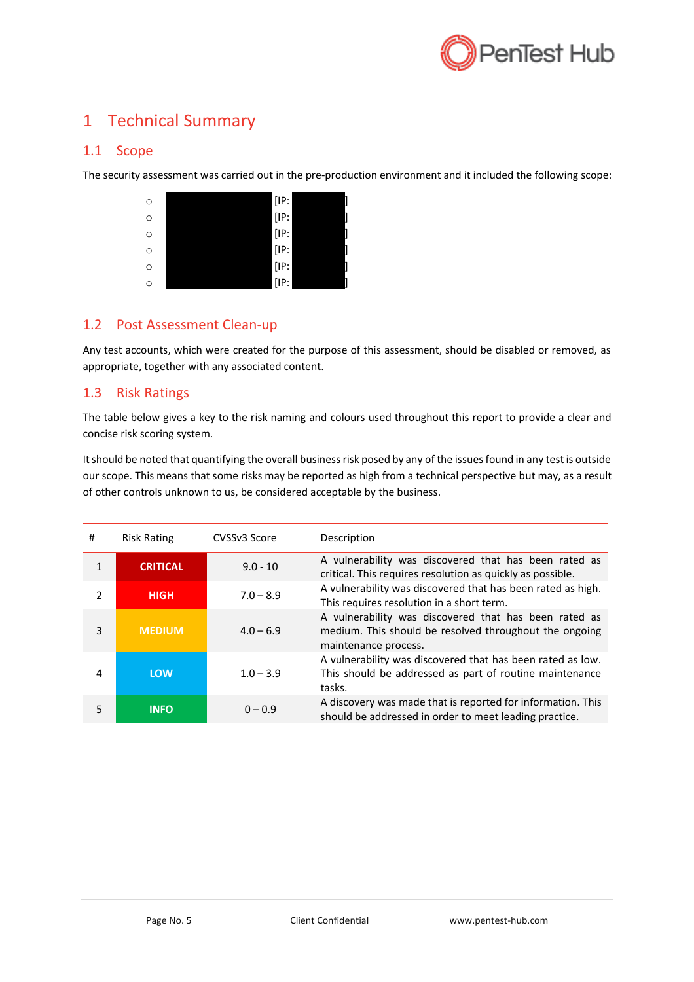

# <span id="page-4-0"></span>1 Technical Summary

# <span id="page-4-1"></span>1.1 Scope

The security assessment was carried out in the pre-production environment and it included the following scope:

| O | [IP: | ] |
|---|------|---|
| O | [IP: | ] |
| O | [IP: | ] |
| O | [IP: | ] |
| O | [IP: | ] |
| O | [IP: | ] |

# <span id="page-4-2"></span>1.2 Post Assessment Clean-up

Any test accounts, which were created for the purpose of this assessment, should be disabled or removed, as appropriate, together with any associated content.

# <span id="page-4-3"></span>1.3 Risk Ratings

The table below gives a key to the risk naming and colours used throughout this report to provide a clear and concise risk scoring system.

It should be noted that quantifying the overall business risk posed by any of the issues found in any test is outside our scope. This means that some risks may be reported as high from a technical perspective but may, as a result of other controls unknown to us, be considered acceptable by the business.

| # | <b>Risk Rating</b> | CVSSv3 Score | Description                                                                                                                             |
|---|--------------------|--------------|-----------------------------------------------------------------------------------------------------------------------------------------|
| 1 | <b>CRITICAL</b>    | $9.0 - 10$   | A vulnerability was discovered that has been rated as<br>critical. This requires resolution as quickly as possible.                     |
| 2 | <b>HIGH</b>        | $7.0 - 8.9$  | A vulnerability was discovered that has been rated as high.<br>This requires resolution in a short term.                                |
| 3 | <b>MEDIUM</b>      | $4.0 - 6.9$  | A vulnerability was discovered that has been rated as<br>medium. This should be resolved throughout the ongoing<br>maintenance process. |
| 4 | <b>LOW</b>         | $1.0 - 3.9$  | A vulnerability was discovered that has been rated as low.<br>This should be addressed as part of routine maintenance<br>tasks.         |
| 5 | <b>INFO</b>        | $0 - 0.9$    | A discovery was made that is reported for information. This<br>should be addressed in order to meet leading practice.                   |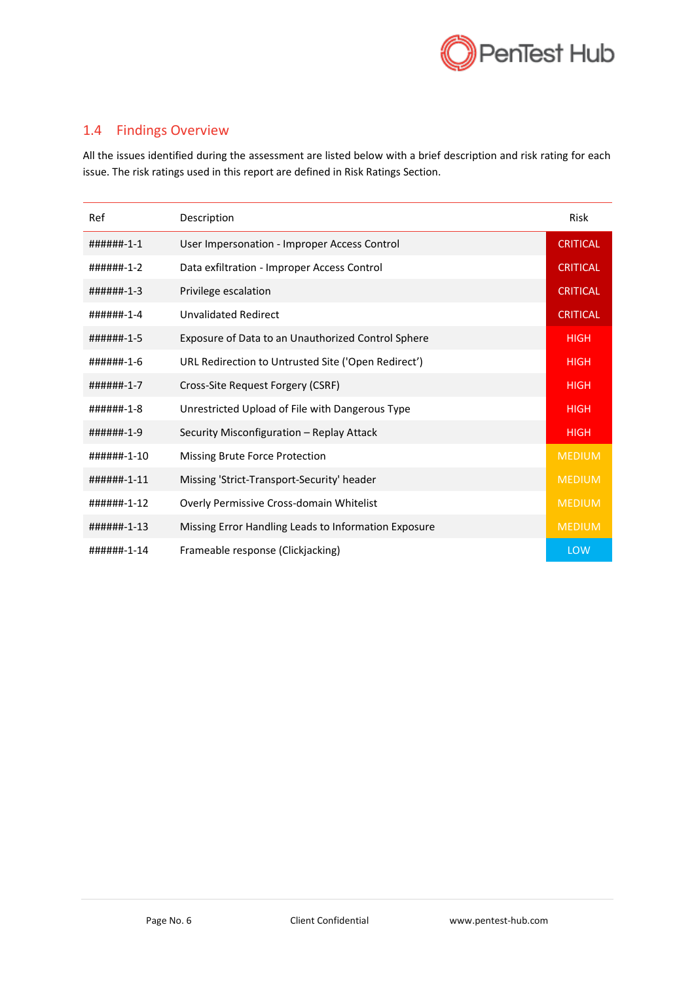

# <span id="page-5-0"></span>1.4 Findings Overview

All the issues identified during the assessment are listed below with a brief description and risk rating for each issue. The risk ratings used in this report are defined in Risk Ratings Section.

| Ref          | Description                                          | <b>Risk</b>     |
|--------------|------------------------------------------------------|-----------------|
| ######+1-1   | User Impersonation - Improper Access Control         | <b>CRITICAL</b> |
| ######+-1-2  | Data exfiltration - Improper Access Control          | <b>CRITICAL</b> |
| ######+1-3   | Privilege escalation                                 | <b>CRITICAL</b> |
| ######-1-4   | <b>Unvalidated Redirect</b>                          | <b>CRITICAL</b> |
| ######+1-5   | Exposure of Data to an Unauthorized Control Sphere   | <b>HIGH</b>     |
| ######-1-6   | URL Redirection to Untrusted Site ('Open Redirect')  | <b>HIGH</b>     |
| ######+1-7   | Cross-Site Request Forgery (CSRF)                    | <b>HIGH</b>     |
| ######-1-8   | Unrestricted Upload of File with Dangerous Type      | <b>HIGH</b>     |
| ######+1-9   | Security Misconfiguration - Replay Attack            | <b>HIGH</b>     |
| ######-1-10  | Missing Brute Force Protection                       | <b>MEDIUM</b>   |
| ######+1-11  | Missing 'Strict-Transport-Security' header           | <b>MEDIUM</b>   |
| ######+-1-12 | Overly Permissive Cross-domain Whitelist             | <b>MEDIUM</b>   |
| ######+1-13  | Missing Error Handling Leads to Information Exposure | <b>MEDIUM</b>   |
| ######+1-14  | Frameable response (Clickjacking)                    | LOW             |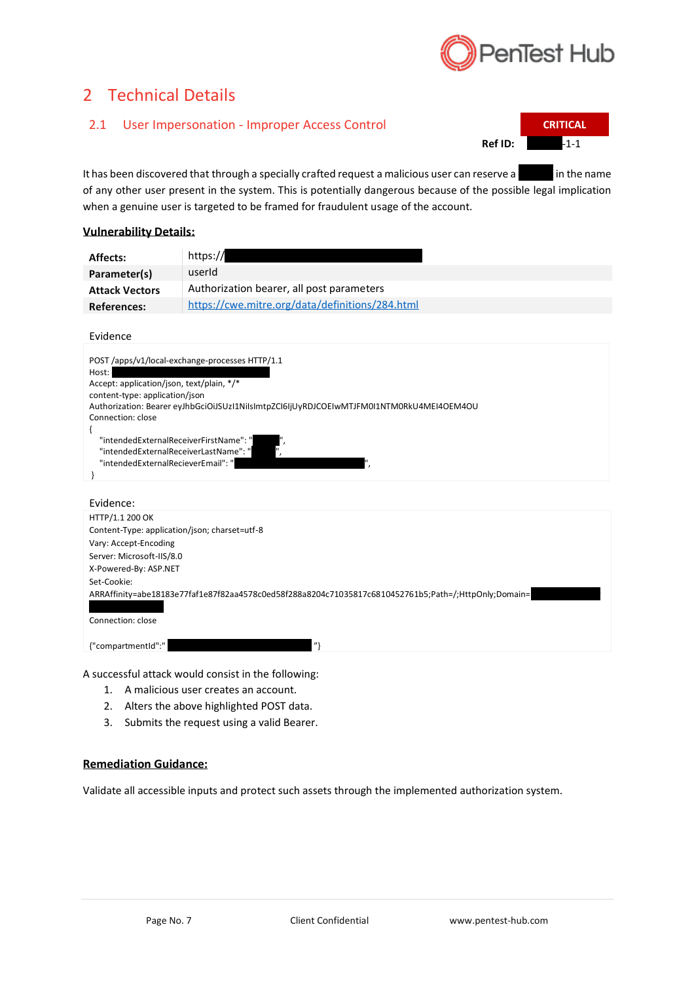

# <span id="page-6-0"></span>2 Technical Details

#### <span id="page-6-1"></span>2.1 User Impersonation - Improper Access Control **CRITICAL**

**Ref ID:** ######-1-1

It has been discovered that through a specially crafted request a malicious user can reserve a  $\frac{1}{4}$  in the name of any other user present in the system. This is potentially dangerous because of the possible legal implication when a genuine user is targeted to be framed for fraudulent usage of the account.

#### **Vulnerability Details:**

| Affects:              | https://                                        |  |
|-----------------------|-------------------------------------------------|--|
| Parameter(s)          | userId                                          |  |
| <b>Attack Vectors</b> | Authorization bearer, all post parameters       |  |
| <b>References:</b>    | https://cwe.mitre.org/data/definitions/284.html |  |
|                       |                                                 |  |

#### Evidence

| POST /apps/v1/local-exchange-processes HTTP/1.1<br>Host:<br>Accept: application/json, text/plain, */*<br>content-type: application/json<br>Authorization: Bearer eyJhbGciOiJSUzI1NiIsImtpZCI6IjUyRDJCOEIwMTJFM0I1NTM0RkU4MEI4OEM4OU<br>Connection: close<br>"intendedExternalReceiverFirstName": "<br>"intendedExternalReceiverLastName": "<br>"intendedExternalRecieverEmail": " |
|-----------------------------------------------------------------------------------------------------------------------------------------------------------------------------------------------------------------------------------------------------------------------------------------------------------------------------------------------------------------------------------|
| Evidence:                                                                                                                                                                                                                                                                                                                                                                         |
| HTTP/1.1 200 OK                                                                                                                                                                                                                                                                                                                                                                   |
| Content-Type: application/json; charset=utf-8                                                                                                                                                                                                                                                                                                                                     |
| Vary: Accept-Encoding                                                                                                                                                                                                                                                                                                                                                             |
| Server: Microsoft-IIS/8.0                                                                                                                                                                                                                                                                                                                                                         |
| X-Powered-By: ASP.NET                                                                                                                                                                                                                                                                                                                                                             |
| Set-Cookie:                                                                                                                                                                                                                                                                                                                                                                       |
| ARRAffinity=abe18183e77faf1e87f82aa4578c0ed58f288a8204c71035817c6810452761b5;Path=/;HttpOnly;Domain=                                                                                                                                                                                                                                                                              |
| Connection: close                                                                                                                                                                                                                                                                                                                                                                 |
| "}<br>{"compartmentId":"                                                                                                                                                                                                                                                                                                                                                          |

A successful attack would consist in the following:

- 1. A malicious user creates an account.
- 2. Alters the above highlighted POST data.
- 3. Submits the request using a valid Bearer.

#### **Remediation Guidance:**

Validate all accessible inputs and protect such assets through the implemented authorization system.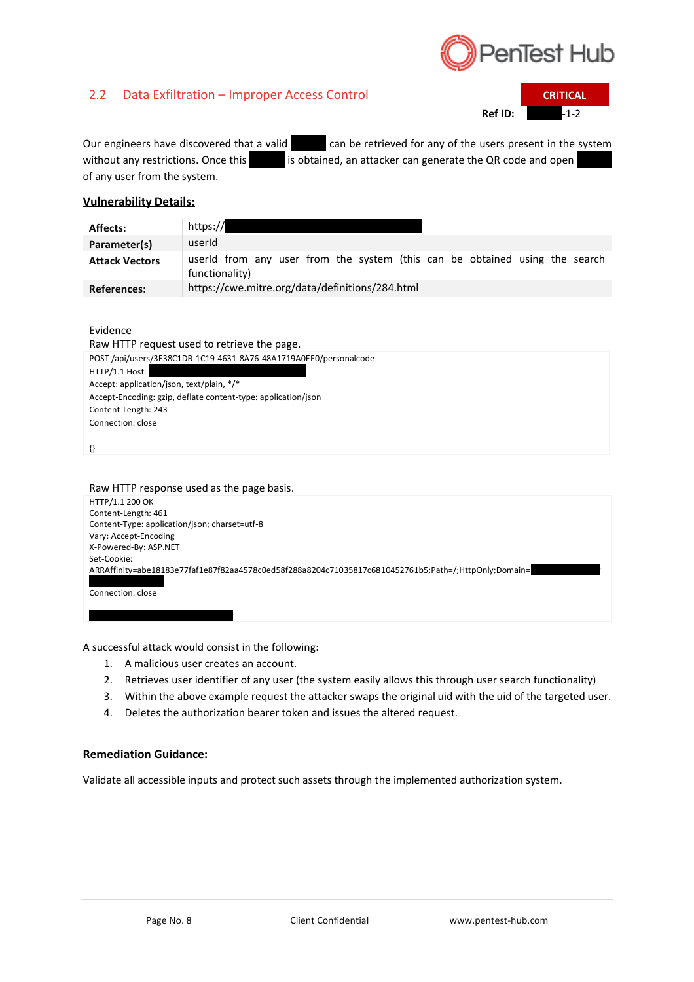

# <span id="page-7-0"></span>2.2 Data Exfiltration – Improper Access Control **CRITICAL**

**Ref ID:**  $\sqrt{1-2}$ 

Our engineers have discovered that a valid  $\qquad$  can be retrieved for any of the users present in the system without any restrictions. Once this  $\frac{1}{4}$  is obtained, an attacker can generate the QR code and open of any user from the system.

#### **Vulnerability Details:**

| Affects:              | https://                                                                                      |
|-----------------------|-----------------------------------------------------------------------------------------------|
| Parameter(s)          | userId                                                                                        |
| <b>Attack Vectors</b> | userId from any user from the system (this can be obtained using the search<br>functionality) |
| <b>References:</b>    | https://cwe.mitre.org/data/definitions/284.html                                               |

Evidence

Raw HTTP request used to retrieve the page. POST /api/users/3E38C1DB-1C19-4631-8A76-48A1719A0EE0/personalcode HTTP/1.1 Host: Accept: application/json, text/plain, \*/\* Accept-Encoding: gzip, deflate content-type: application/json Content-Length: 243 Connection: close {}

| Raw HTTP response used as the page basis.                                                            |
|------------------------------------------------------------------------------------------------------|
| HTTP/1.1 200 OK                                                                                      |
| Content-Length: 461                                                                                  |
| Content-Type: application/json; charset=utf-8                                                        |
| Vary: Accept-Encoding                                                                                |
| X-Powered-By: ASP.NET                                                                                |
| Set-Cookie:                                                                                          |
| ARRAffinity=abe18183e77faf1e87f82aa4578c0ed58f288a8204c71035817c6810452761b5;Path=/;HttpOnly;Domain= |
|                                                                                                      |
| Connection: close                                                                                    |
|                                                                                                      |
|                                                                                                      |

A successful attack would consist in the following:

- 1. A malicious user creates an account.
- 2. Retrieves user identifier of any user (the system easily allows this through user search functionality)
- 3. Within the above example request the attacker swaps the original uid with the uid of the targeted user.
- 4. Deletes the authorization bearer token and issues the altered request.

#### **Remediation Guidance:**

Validate all accessible inputs and protect such assets through the implemented authorization system.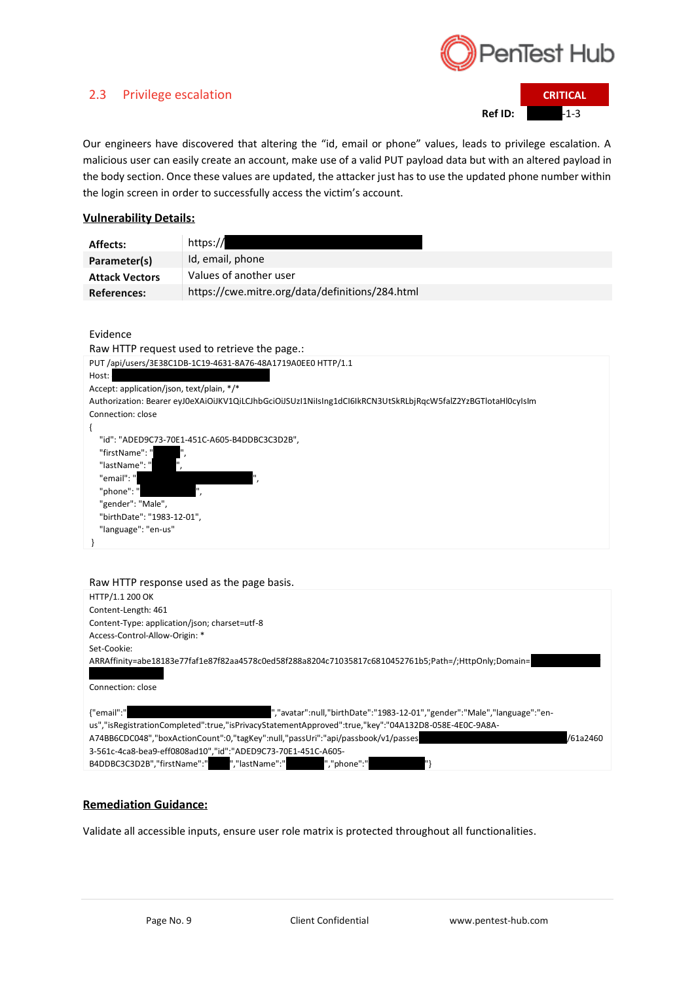

# <span id="page-8-0"></span>2.3 Privilege escalation **CRITICAL**

**Ref ID:**  $\begin{array}{|c|c|c|c|}\n\hline\n-1-3\n\end{array}$ 

Our engineers have discovered that altering the "id, email or phone" values, leads to privilege escalation. A malicious user can easily create an account, make use of a valid PUT payload data but with an altered payload in the body section. Once these values are updated, the attacker just has to use the updated phone number within the login screen in order to successfully access the victim's account.

#### **Vulnerability Details:**

| Affects:              | https://                                        |
|-----------------------|-------------------------------------------------|
| Parameter(s)          | Id, email, phone                                |
| <b>Attack Vectors</b> | Values of another user                          |
| <b>References:</b>    | https://cwe.mitre.org/data/definitions/284.html |
|                       |                                                 |

Evidence

| Raw HTTP request used to retrieve the page.:                                                                 |
|--------------------------------------------------------------------------------------------------------------|
| PUT /api/users/3E38C1DB-1C19-4631-8A76-48A1719A0EE0 HTTP/1.1                                                 |
| Host:                                                                                                        |
| Accept: application/json, text/plain, */*                                                                    |
| Authorization: Bearer eyJ0eXAiOiJKV1QiLCJhbGciOiJSUzI1NilsIng1dCl6lkRCN3UtSkRLbjRqcW5falZ2YzBGTlotaHl0cyIsIm |
| Connection: close                                                                                            |
|                                                                                                              |
| "id": "ADED9C73-70E1-451C-A605-B4DDBC3C3D2B",                                                                |
| "firstName": "                                                                                               |
| "lastName": "                                                                                                |
| "email": "                                                                                                   |
| "phone": "                                                                                                   |
| "gender": "Male",                                                                                            |
| "birthDate": "1983-12-01",                                                                                   |
| "language": "en-us"                                                                                          |
|                                                                                                              |

| Raw HTTP response used as the page basis.                                                            |
|------------------------------------------------------------------------------------------------------|
| HTTP/1.1 200 OK                                                                                      |
| Content-Length: 461                                                                                  |
| Content-Type: application/json; charset=utf-8                                                        |
| Access-Control-Allow-Origin: *                                                                       |
| Set-Cookie:                                                                                          |
| ARRAffinity=abe18183e77faf1e87f82aa4578c0ed58f288a8204c71035817c6810452761b5;Path=/;HttpOnly;Domain= |
| Connection: close                                                                                    |
|                                                                                                      |
| ","avatar":null,"birthDate":"1983-12-01","gender":"Male","language":"en-<br>{"email":"               |
| us","isRegistrationCompleted":true,"isPrivacyStatementApproved":true,"key":"04A132D8-058E-4E0C-9A8A- |
| A74BB6CDC048","boxActionCount":0,"tagKey":null,"passUri":"api/passbook/v1/passes<br>/61a2460         |
| 3-561c-4ca8-bea9-eff0808ad10","id":"ADED9C73-70E1-451C-A605-                                         |
| B4DDBC3C3D2B","firstName":" ","lastName":"<br>","phone":"                                            |

#### **Remediation Guidance:**

Validate all accessible inputs, ensure user role matrix is protected throughout all functionalities.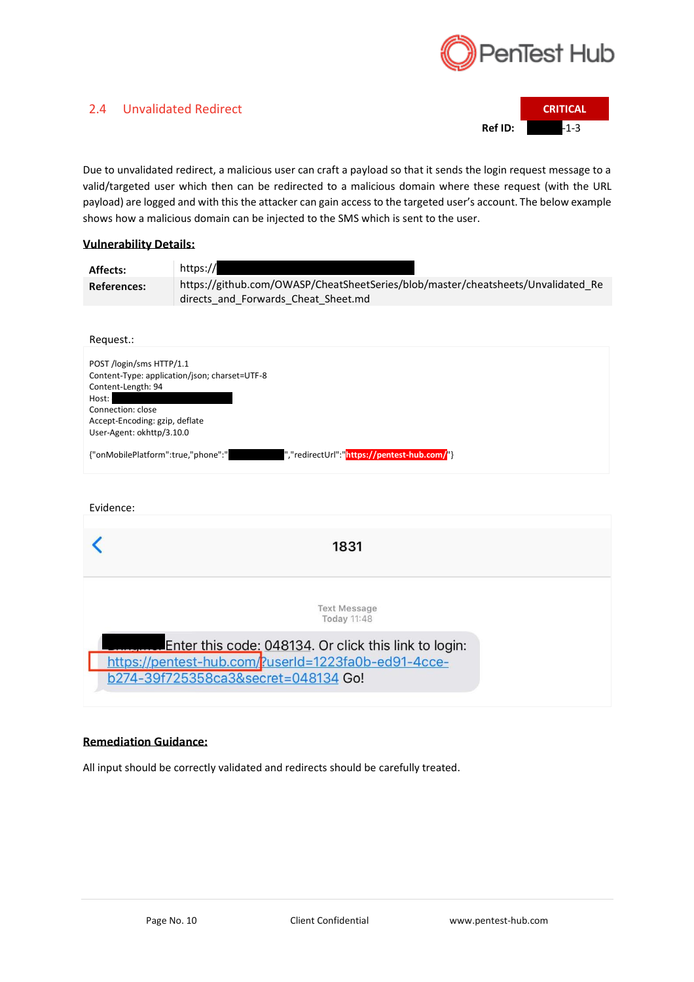

# <span id="page-9-0"></span>2.4 Unvalidated Redirect **CRITICAL**

**Ref ID:**  $\begin{array}{|c|c|c|c|}\n\hline\n-1-3\n\end{array}$ 

Due to unvalidated redirect, a malicious user can craft a payload so that it sends the login request message to a valid/targeted user which then can be redirected to a malicious domain where these request (with the URL payload) are logged and with this the attacker can gain access to the targeted user's account. The below example shows how a malicious domain can be injected to the SMS which is sent to the user.

#### **Vulnerability Details:**

| Affects:                                                                                                                                                                          | https://                                                                                                                                            |
|-----------------------------------------------------------------------------------------------------------------------------------------------------------------------------------|-----------------------------------------------------------------------------------------------------------------------------------------------------|
| <b>References:</b>                                                                                                                                                                | https://github.com/OWASP/CheatSheetSeries/blob/master/cheatsheets/Unvalidated Re<br>directs and Forwards Cheat Sheet.md                             |
|                                                                                                                                                                                   |                                                                                                                                                     |
| Request.:                                                                                                                                                                         |                                                                                                                                                     |
| POST /login/sms HTTP/1.1<br>Content-Length: 94<br>Host:<br>Connection: close<br>Accept-Encoding: gzip, deflate<br>User-Agent: okhttp/3.10.0<br>{"onMobilePlatform":true,"phone":" | Content-Type: application/json; charset=UTF-8<br>","redirectUrl":"https://pentest-hub.com/"}                                                        |
|                                                                                                                                                                                   |                                                                                                                                                     |
| Evidence:                                                                                                                                                                         |                                                                                                                                                     |
|                                                                                                                                                                                   |                                                                                                                                                     |
|                                                                                                                                                                                   | 1831                                                                                                                                                |
|                                                                                                                                                                                   |                                                                                                                                                     |
|                                                                                                                                                                                   | <b>Text Message</b><br>Today 11:48                                                                                                                  |
|                                                                                                                                                                                   | Enter this code: 048134. Or click this link to login:<br>https://pentest-hub.com/?userId=1223fa0b-ed91-4cce-<br>b274-39f725358ca3&secret=048134 Go! |

#### **Remediation Guidance:**

All input should be correctly validated and redirects should be carefully treated.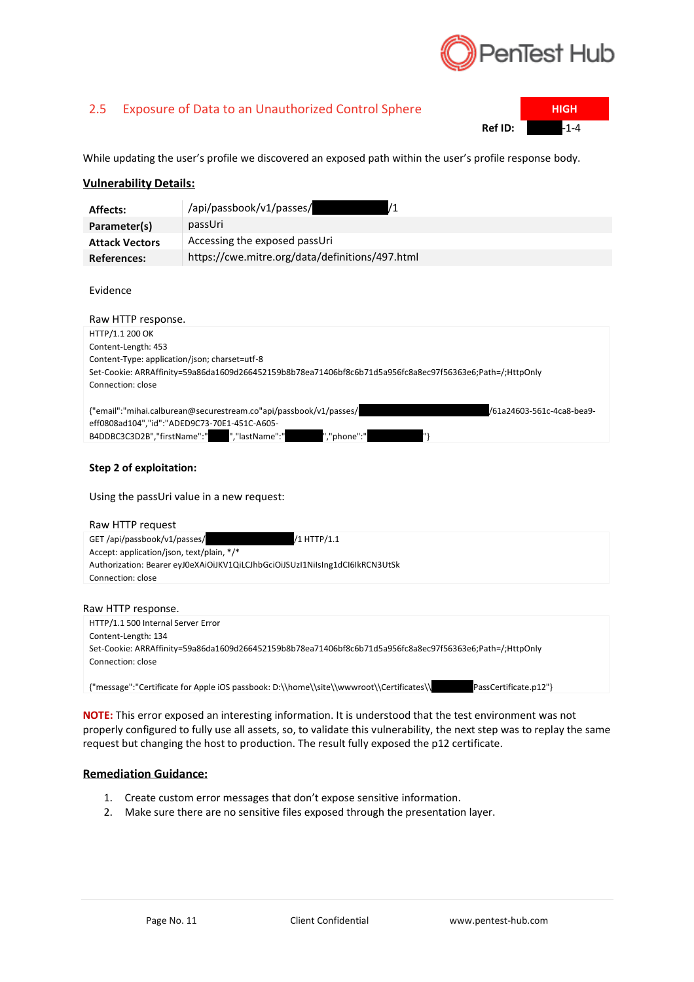

<span id="page-10-0"></span>

| 2.5 Exposure of Data to an Unauthorized Control Sphere |                       | <b>HIGH</b> |
|--------------------------------------------------------|-----------------------|-------------|
|                                                        | $RefID: \blacksquare$ | $-1-4$      |
|                                                        |                       |             |

While updating the user's profile we discovered an exposed path within the user's profile response body.

| <b>Vulnerability Details:</b>                 |                                                                                                                                                                                                             |  |
|-----------------------------------------------|-------------------------------------------------------------------------------------------------------------------------------------------------------------------------------------------------------------|--|
| Affects:                                      | /api/passbook/v1/passes/<br>/1                                                                                                                                                                              |  |
| Parameter(s)                                  | passUri                                                                                                                                                                                                     |  |
| <b>Attack Vectors</b>                         | Accessing the exposed passUri                                                                                                                                                                               |  |
| <b>References:</b>                            | https://cwe.mitre.org/data/definitions/497.html                                                                                                                                                             |  |
| Evidence                                      |                                                                                                                                                                                                             |  |
| Raw HTTP response.                            |                                                                                                                                                                                                             |  |
| HTTP/1.1 200 OK<br>Content-Length: 453        |                                                                                                                                                                                                             |  |
| Content-Type: application/json; charset=utf-8 |                                                                                                                                                                                                             |  |
|                                               | Set-Cookie: ARRAffinity=59a86da1609d266452159b8b78ea71406bf8c6b71d5a956fc8a8ec97f56363e6;Path=/;HttpOnly                                                                                                    |  |
| Connection: close                             |                                                                                                                                                                                                             |  |
|                                               | /61a24603-561c-4ca8-bea9-<br>{"email":"mihai.calburean@securestream.co"api/passbook/v1/passes/<br>eff0808ad104","id":"ADED9C73-70E1-451C-A605-<br>B4DDBC3C3D2B","firstName":" ","lastName":"<br>"."phone":" |  |
| Step 2 of exploitation:                       |                                                                                                                                                                                                             |  |

Using the passUri value in a new request:

| Raw HTTP request                                                             |             |
|------------------------------------------------------------------------------|-------------|
| GET/api/passbook/v1/passes/                                                  | /1 HTTP/1.1 |
| Accept: application/json, text/plain, */*                                    |             |
| Authorization: Bearer eyJ0eXAiOiJKV1QiLCJhbGciOiJSUzI1NilsIng1dCl6lkRCN3UtSk |             |
| Connection: close                                                            |             |

| Raw HTTP response.                                                                                               |
|------------------------------------------------------------------------------------------------------------------|
| HTTP/1.1 500 Internal Server Error                                                                               |
| Content-Length: 134                                                                                              |
| Set-Cookie: ARRAffinity=59a86da1609d266452159b8b78ea71406bf8c6b71d5a956fc8a8ec97f56363e6;Path=/;HttpOnly         |
| Connection: close                                                                                                |
|                                                                                                                  |
| {"message":"Certificate for Apple iOS passbook: D:\\home\\site\\wwwroot\\Certificates\\<br>PassCertificate.p12"} |
|                                                                                                                  |

**NOTE:** This error exposed an interesting information. It is understood that the test environment was not properly configured to fully use all assets, so, to validate this vulnerability, the next step was to replay the same request but changing the host to production. The result fully exposed the p12 certificate.

#### **Remediation Guidance:**

- 1. Create custom error messages that don't expose sensitive information.
- 2. Make sure there are no sensitive files exposed through the presentation layer.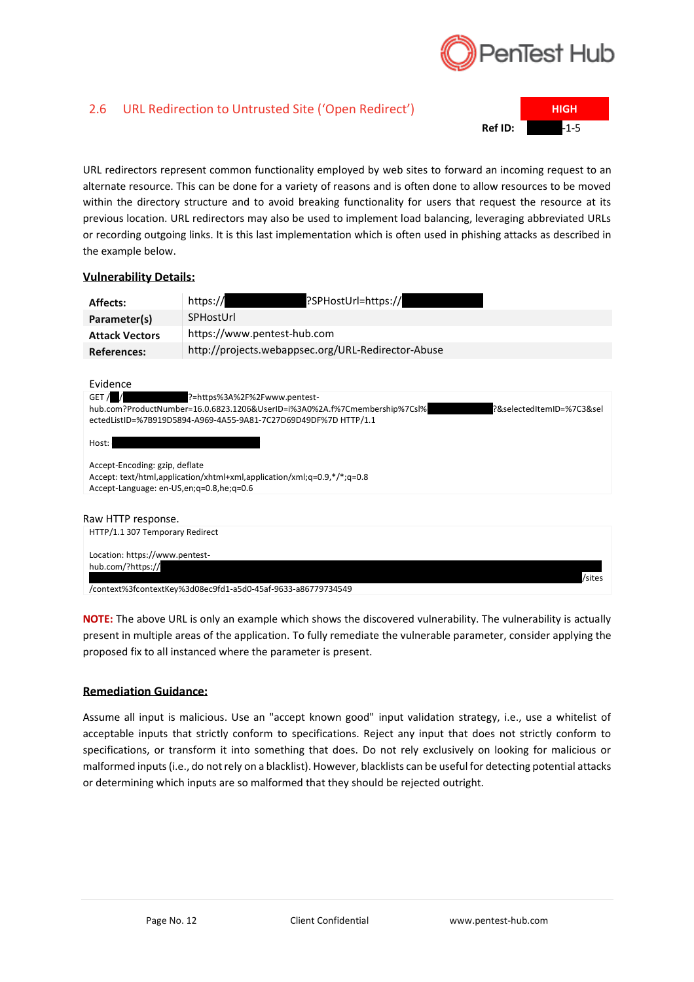

# <span id="page-11-0"></span>2.6 URL Redirection to Untrusted Site ('Open Redirect') **HIGH**

**Ref ID:**  $\begin{array}{|c|c|c|c|}\n\hline\n-1-5\n\end{array}$ 

URL redirectors represent common functionality employed by web sites to forward an incoming request to an alternate resource. This can be done for a variety of reasons and is often done to allow resources to be moved within the directory structure and to avoid breaking functionality for users that request the resource at its previous location. URL redirectors may also be used to implement load balancing, leveraging abbreviated URLs or recording outgoing links. It is this last implementation which is often used in phishing attacks as described in the example below.

#### **Vulnerability Details:**

| Affects:              | ?SPHostUrl=https://<br>https://                                                                          |
|-----------------------|----------------------------------------------------------------------------------------------------------|
| Parameter(s)          | SPHostUrl                                                                                                |
| <b>Attack Vectors</b> | https://www.pentest-hub.com                                                                              |
| <b>References:</b>    | http://projects.webappsec.org/URL-Redirector-Abuse                                                       |
|                       |                                                                                                          |
| Evidence              |                                                                                                          |
| GET/J                 | ?=https%3A%2F%2Fwww.pentest-                                                                             |
|                       | hub.com?ProductNumber=16.0.6823.12068-11cerID=i%3A0%2A.f%7Cmemberchin%7Ccl%<br>28coloctoditamID-%7C38col |

| hub.com?ProductNumber=16.0.6823.1206&UserID=i%3A0%2A.f%7Cmembership%7Csl%<br>ectedListID=%7B919D5894-A969-4A55-9A81-7C27D69D49DF%7D HTTP/1.1              | ?&selectedItemID=%7C3&sel |
|-----------------------------------------------------------------------------------------------------------------------------------------------------------|---------------------------|
| Host: I                                                                                                                                                   |                           |
| Accept-Encoding: gzip, deflate<br>Accept: text/html,application/xhtml+xml,application/xml;q=0.9,*/*;q=0.8<br>Accept-Language: en-US, en; q=0.8, he; q=0.6 |                           |

| Raw HTTP response.                                           |        |
|--------------------------------------------------------------|--------|
| HTTP/1.1 307 Temporary Redirect                              |        |
|                                                              |        |
| Location: https://www.pentest-                               |        |
| hub.com/?https://                                            |        |
|                                                              | /sites |
| /context%3fcontextKey%3d08ec9fd1-a5d0-45af-9633-a86779734549 |        |

**NOTE:** The above URL is only an example which shows the discovered vulnerability. The vulnerability is actually present in multiple areas of the application. To fully remediate the vulnerable parameter, consider applying the proposed fix to all instanced where the parameter is present.

#### **Remediation Guidance:**

Assume all input is malicious. Use an "accept known good" input validation strategy, i.e., use a whitelist of acceptable inputs that strictly conform to specifications. Reject any input that does not strictly conform to specifications, or transform it into something that does. Do not rely exclusively on looking for malicious or malformed inputs (i.e., do not rely on a blacklist). However, blacklists can be useful for detecting potential attacks or determining which inputs are so malformed that they should be rejected outright.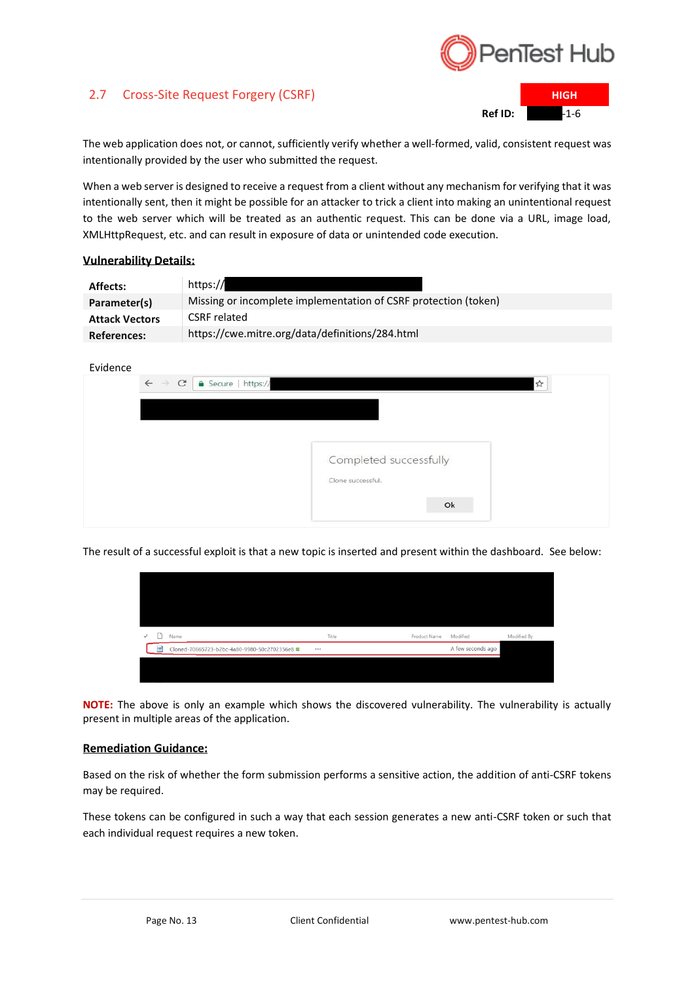

# <span id="page-12-0"></span>2.7 Cross-Site Request Forgery (CSRF) **HIGH HIGH**

**Ref ID:**  $-1-6$ 

The web application does not, or cannot, sufficiently verify whether a well-formed, valid, consistent request was intentionally provided by the user who submitted the request.

When a web server is designed to receive a request from a client without any mechanism for verifying that it was intentionally sent, then it might be possible for an attacker to trick a client into making an unintentional request to the web server which will be treated as an authentic request. This can be done via a URL, image load, XMLHttpRequest, etc. and can result in exposure of data or unintended code execution.

#### **Vulnerability Details:**

Evidence

| Affects:              | https://                                                        |
|-----------------------|-----------------------------------------------------------------|
| Parameter(s)          | Missing or incomplete implementation of CSRF protection (token) |
| <b>Attack Vectors</b> | <b>CSRF</b> related                                             |
| <b>References:</b>    | https://cwe.mitre.org/data/definitions/284.html                 |

| Completed successfully |
|------------------------|
| Clone successful.      |
|                        |

The result of a successful exploit is that a new topic is inserted and present within the dashboard. See below:

| $\checkmark$ | Name                                          | Title | Product Name | Modified          | Modified By |
|--------------|-----------------------------------------------|-------|--------------|-------------------|-------------|
|              | Cloned-70665723-b2bc-4a80-9980-50c2702356e8 ※ |       |              | A few seconds ago |             |
|              |                                               |       |              |                   |             |

**NOTE:** The above is only an example which shows the discovered vulnerability. The vulnerability is actually present in multiple areas of the application.

#### **Remediation Guidance:**

Based on the risk of whether the form submission performs a sensitive action, the addition of anti-CSRF tokens may be required.

These tokens can be configured in such a way that each session generates a new anti-CSRF token or such that each individual request requires a new token.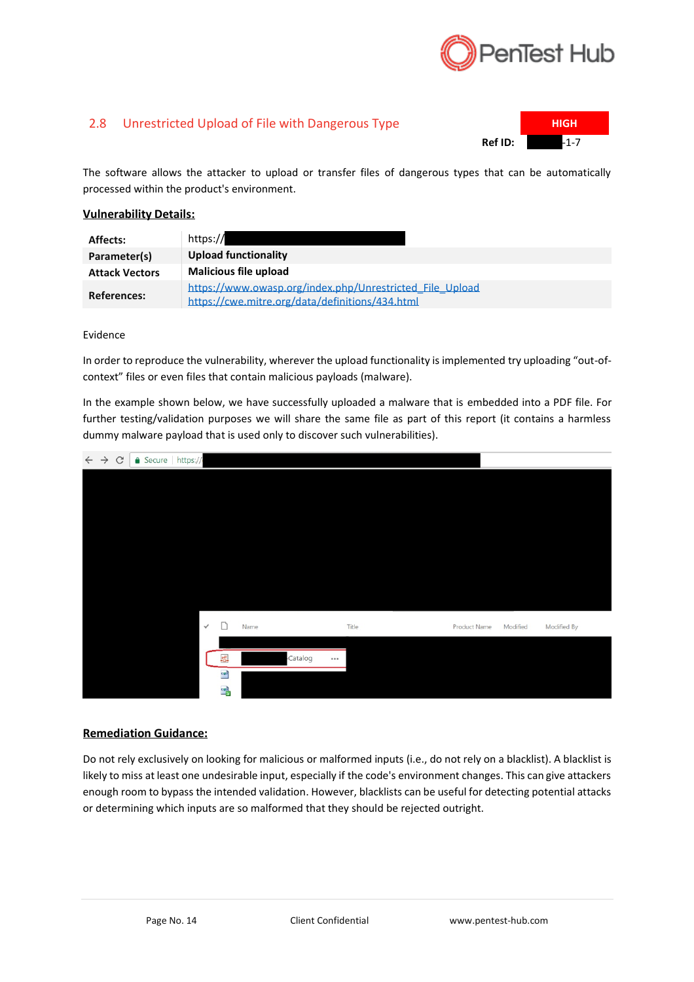

## <span id="page-13-0"></span>2.8 Unrestricted Upload of File with Dangerous Type **HIGH**

**Ref ID:**  $\blacksquare$   $-1-7$ 

The software allows the attacker to upload or transfer files of dangerous types that can be automatically processed within the product's environment.

#### **Vulnerability Details:**

| Affects:              | https://                                                                                                    |
|-----------------------|-------------------------------------------------------------------------------------------------------------|
| Parameter(s)          | <b>Upload functionality</b>                                                                                 |
| <b>Attack Vectors</b> | <b>Malicious file upload</b>                                                                                |
| <b>References:</b>    | https://www.owasp.org/index.php/Unrestricted File Upload<br>https://cwe.mitre.org/data/definitions/434.html |

#### Evidence

In order to reproduce the vulnerability, wherever the upload functionality is implemented try uploading "out-ofcontext" files or even files that contain malicious payloads (malware).

In the example shown below, we have successfully uploaded a malware that is embedded into a PDF file. For further testing/validation purposes we will share the same file as part of this report (it contains a harmless dummy malware payload that is used only to discover such vulnerabilities).



#### **Remediation Guidance:**

Do not rely exclusively on looking for malicious or malformed inputs (i.e., do not rely on a blacklist). A blacklist is likely to miss at least one undesirable input, especially if the code's environment changes. This can give attackers enough room to bypass the intended validation. However, blacklists can be useful for detecting potential attacks or determining which inputs are so malformed that they should be rejected outright.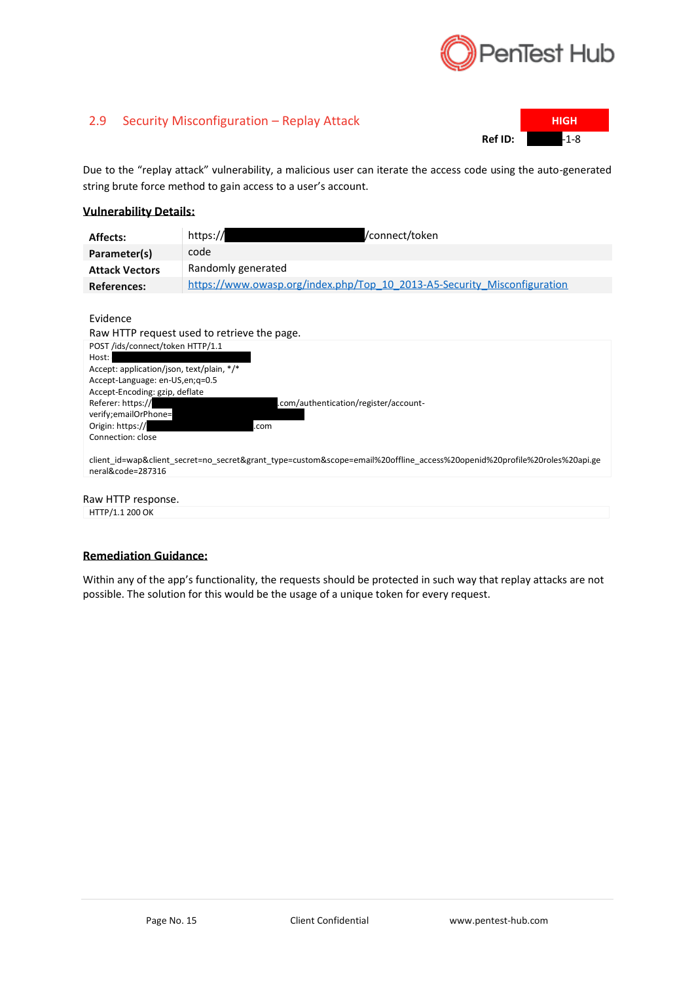

## <span id="page-14-0"></span>2.9 Security Misconfiguration - Replay Attack

|                | 1HIGH |
|----------------|-------|
| <b>Ref ID:</b> | -1-8  |

Due to the "replay attack" vulnerability, a malicious user can iterate the access code using the auto-generated string brute force method to gain access to a user's account.

## **Vulnerability Details:**

| Affects:              | Vconnect/token<br>https://                                               |
|-----------------------|--------------------------------------------------------------------------|
| Parameter(s)          | code                                                                     |
| <b>Attack Vectors</b> | Randomly generated                                                       |
| <b>References:</b>    | https://www.owasp.org/index.php/Top_10_2013-A5-Security_Misconfiguration |

Evidence

| LVIUCIILC                                                                                                                                     |
|-----------------------------------------------------------------------------------------------------------------------------------------------|
| Raw HTTP request used to retrieve the page.                                                                                                   |
| POST /ids/connect/token HTTP/1.1                                                                                                              |
| Host:                                                                                                                                         |
| Accept: application/json, text/plain, */*                                                                                                     |
| Accept-Language: en-US, en; q=0.5                                                                                                             |
| Accept-Encoding: gzip, deflate                                                                                                                |
| .com/authentication/register/account-<br>Referer: https://                                                                                    |
| verify;emailOrPhone=                                                                                                                          |
| Origin: https://<br>.com                                                                                                                      |
| Connection: close                                                                                                                             |
|                                                                                                                                               |
| client id=wap&client secret=no secret&grant type=custom&scope=email%20offline access%20openid%20profile%20roles%20api.ge<br>neral&code=287316 |
|                                                                                                                                               |
| Raw HTTP response.                                                                                                                            |
| HTTP/1.1 200 OK                                                                                                                               |

## **Remediation Guidance:**

Within any of the app's functionality, the requests should be protected in such way that replay attacks are not possible. The solution for this would be the usage of a unique token for every request.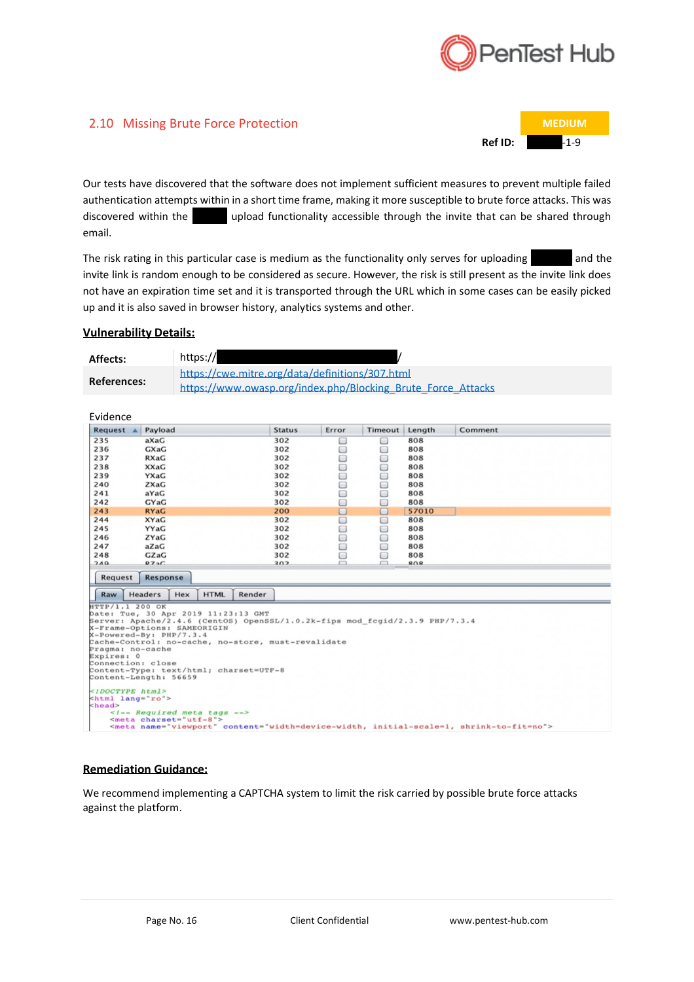

## <span id="page-15-0"></span>2.10 Missing Brute Force Protection **MEDIUM** MEDIUM

**Ref ID:**  $-1-9$ 

Our tests have discovered that the software does not implement sufficient measures to prevent multiple failed authentication attempts within in a short time frame, making it more susceptible to brute force attacks. This was discovered within the  $\qquad$  upload functionality accessible through the invite that can be shared through email.

The risk rating in this particular case is medium as the functionality only serves for uploading  $\blacksquare$  and the invite link is random enough to be considered as secure. However, the risk is still present as the invite link does not have an expiration time set and it is transported through the URL which in some cases can be easily picked up and it is also saved in browser history, analytics systems and other.

#### **Vulnerability Details:**

| Affects:    | https://                                                                                                        |
|-------------|-----------------------------------------------------------------------------------------------------------------|
| References: | https://cwe.mitre.org/data/definitions/307.html<br>https://www.owasp.org/index.php/Blocking Brute Force Attacks |

| Request A                                                | Payload                                                                                                    | <b>Status</b> | Error                    | Timeout | Length | Comment |
|----------------------------------------------------------|------------------------------------------------------------------------------------------------------------|---------------|--------------------------|---------|--------|---------|
| 235                                                      | aXaG                                                                                                       | 302           | 0                        | $\Box$  | 808    |         |
| 236                                                      | GXaG                                                                                                       | 302           | 0                        | 0       | 808    |         |
| 237                                                      | <b>RXaG</b>                                                                                                | 302           | 0                        | $\Box$  | 808    |         |
| 238                                                      | <b>XXaG</b>                                                                                                | 302           | □                        | Ο       | 808    |         |
| 239                                                      | YXaG                                                                                                       | 302           | 0                        | $\Box$  | 808    |         |
| 240                                                      | ZXaG                                                                                                       | 302           | O                        | $\Box$  | 808    |         |
| 241                                                      | aYaG                                                                                                       | 302           | $\Box$                   | $\Box$  | 808    |         |
| 242                                                      | GYaG                                                                                                       | 302           | Ō                        | $\Box$  | 808    |         |
| 243                                                      | <b>RYaG</b>                                                                                                | 200           | $\Box$                   | $\Box$  | 57010  |         |
| 244                                                      | <b>XYaG</b>                                                                                                | 302           | $\Box$                   | $\Box$  | 808    |         |
| 245                                                      | YYaG                                                                                                       | 302           | $\Box$                   | $\Box$  | 808    |         |
| 246                                                      | ZYaG                                                                                                       | 302           | Ō                        | $\Box$  | 808    |         |
| 247                                                      | aZaG                                                                                                       | 302           | $\Box$                   | $\Box$  | 808    |         |
| 248                                                      | GZaG                                                                                                       | 302           | Ξ                        | Ο       | 808    |         |
| 2AQ                                                      | D72C                                                                                                       | 302           | $\overline{\phantom{a}}$ | $\Box$  | 808    |         |
| Raw                                                      | <b>HTML</b><br>Render<br>Headers<br>Hex                                                                    |               |                          |         |        |         |
| HTTP/1.1 200 OK                                          |                                                                                                            |               |                          |         |        |         |
|                                                          | Date: Tue, 30 Apr 2019 11:23:13 GMT                                                                        |               |                          |         |        |         |
|                                                          | Server: Apache/2.4.6 (CentOS) OpenSSL/1.0.2k-fips mod_fcgid/2.3.9 PHP/7.3.4<br>X-Frame-Options: SAMEORIGIN |               |                          |         |        |         |
|                                                          | $X-Powered-By: PHP/7.3.4$                                                                                  |               |                          |         |        |         |
|                                                          | Cache-Control: no-cache, no-store, must-revalidate                                                         |               |                          |         |        |         |
| Pragma: no-cache                                         |                                                                                                            |               |                          |         |        |         |
|                                                          |                                                                                                            |               |                          |         |        |         |
|                                                          |                                                                                                            |               |                          |         |        |         |
| Expires: 0<br>Connection: close                          |                                                                                                            |               |                          |         |        |         |
|                                                          | Content-Type: text/html; charset=UTF-8<br>Content-Length: 56659                                            |               |                          |         |        |         |
|                                                          |                                                                                                            |               |                          |         |        |         |
|                                                          |                                                                                                            |               |                          |         |        |         |
|                                                          |                                                                                                            |               |                          |         |        |         |
| $<1$ DOCTYPE html><br>$html lang="ro">$<br><head></head> | $\langle 1--$ Required meta tags $\rightarrow$<br><meta charset="utf-8"/>                                  |               |                          |         |        |         |

#### **Remediation Guidance:**

We recommend implementing a CAPTCHA system to limit the risk carried by possible brute force attacks against the platform.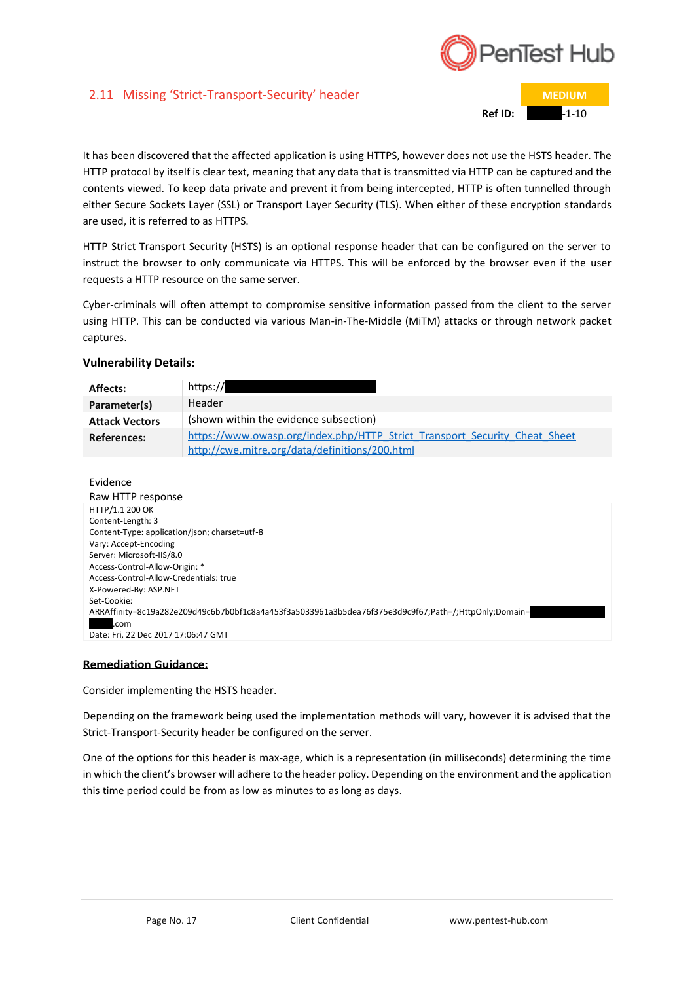

# <span id="page-16-0"></span>2.11 Missing 'Strict-Transport-Security' header **MEDIUM** MEDIUM

**Ref ID:**  $\blacksquare$  +1-10

It has been discovered that the affected application is using HTTPS, however does not use the HSTS header. The HTTP protocol by itself is clear text, meaning that any data that is transmitted via HTTP can be captured and the contents viewed. To keep data private and prevent it from being intercepted, HTTP is often tunnelled through either Secure Sockets Layer (SSL) or Transport Layer Security (TLS). When either of these encryption standards are used, it is referred to as HTTPS.

HTTP Strict Transport Security (HSTS) is an optional response header that can be configured on the server to instruct the browser to only communicate via HTTPS. This will be enforced by the browser even if the user requests a HTTP resource on the same server.

Cyber-criminals will often attempt to compromise sensitive information passed from the client to the server using HTTP. This can be conducted via various Man-in-The-Middle (MiTM) attacks or through network packet captures.

| Affects:              | https://                                                                                                                     |
|-----------------------|------------------------------------------------------------------------------------------------------------------------------|
| Parameter(s)          | Header                                                                                                                       |
| <b>Attack Vectors</b> | (shown within the evidence subsection)                                                                                       |
| <b>References:</b>    | https://www.owasp.org/index.php/HTTP_Strict_Transport_Security_Cheat_Sheet<br>http://cwe.mitre.org/data/definitions/200.html |

## **Vulnerability Details:**

| Raw HTTP response<br>HTTP/1.1 200 OK<br>Content-Length: 3                                            |
|------------------------------------------------------------------------------------------------------|
|                                                                                                      |
|                                                                                                      |
|                                                                                                      |
| Content-Type: application/json; charset=utf-8                                                        |
| Vary: Accept-Encoding                                                                                |
| Server: Microsoft-IIS/8.0                                                                            |
| Access-Control-Allow-Origin: *                                                                       |
| Access-Control-Allow-Credentials: true                                                               |
| X-Powered-By: ASP.NET                                                                                |
| Set-Cookie:                                                                                          |
| ARRAffinity=8c19a282e209d49c6b7b0bf1c8a4a453f3a5033961a3b5dea76f375e3d9c9f67;Path=/;HttpOnly;Domain= |
| .com                                                                                                 |
| Date: Fri, 22 Dec 2017 17:06:47 GMT                                                                  |

#### **Remediation Guidance:**

Consider implementing the HSTS header.

Depending on the framework being used the implementation methods will vary, however it is advised that the Strict-Transport-Security header be configured on the server.

One of the options for this header is max-age, which is a representation (in milliseconds) determining the time in which the client's browser will adhere to the header policy. Depending on the environment and the application this time period could be from as low as minutes to as long as days.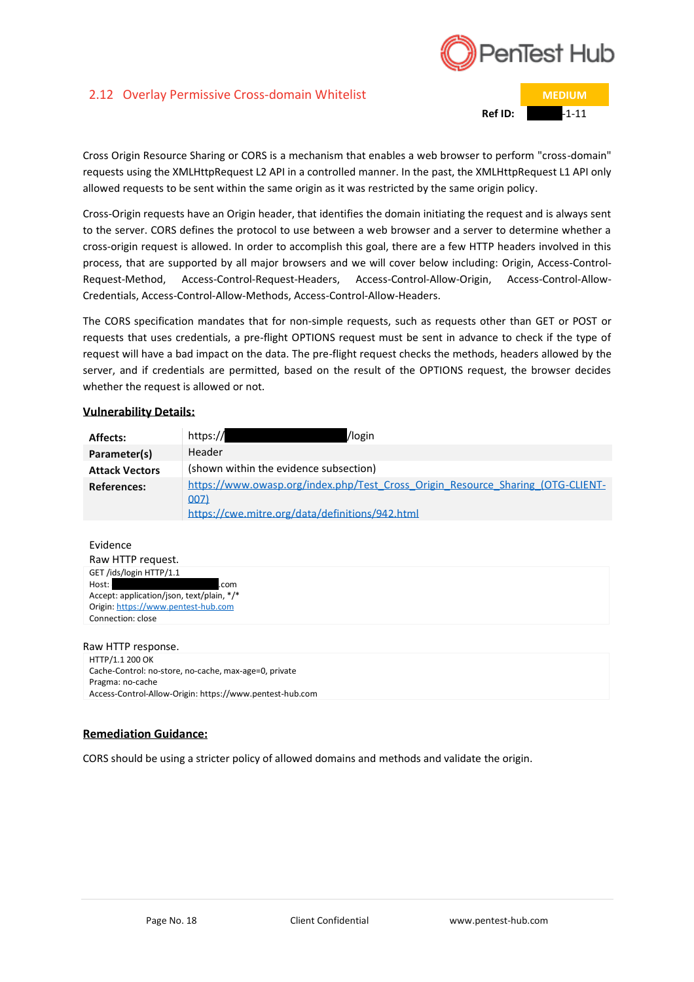

# <span id="page-17-0"></span>2.12 Overlay Permissive Cross-domain Whitelist **MEDIUM**

**Ref ID:**  $\blacksquare$  **1-11** 

Cross Origin Resource Sharing or CORS is a mechanism that enables a web browser to perform "cross-domain" requests using the XMLHttpRequest L2 API in a controlled manner. In the past, the XMLHttpRequest L1 API only allowed requests to be sent within the same origin as it was restricted by the same origin policy.

Cross-Origin requests have an Origin header, that identifies the domain initiating the request and is always sent to the server. CORS defines the protocol to use between a web browser and a server to determine whether a cross-origin request is allowed. In order to accomplish this goal, there are a few HTTP headers involved in this process, that are supported by all major browsers and we will cover below including: Origin, Access-Control-Request-Method, Access-Control-Request-Headers, Access-Control-Allow-Origin, Access-Control-Allow-Credentials, Access-Control-Allow-Methods, Access-Control-Allow-Headers.

The CORS specification mandates that for non-simple requests, such as requests other than GET or POST or requests that uses credentials, a pre-flight OPTIONS request must be sent in advance to check if the type of request will have a bad impact on the data. The pre-flight request checks the methods, headers allowed by the server, and if credentials are permitted, based on the result of the OPTIONS request, the browser decides whether the request is allowed or not.

#### **Vulnerability Details:**

| Affects:              | /login<br>https://                                                                                                                         |
|-----------------------|--------------------------------------------------------------------------------------------------------------------------------------------|
| Parameter(s)          | Header                                                                                                                                     |
| <b>Attack Vectors</b> | (shown within the evidence subsection)                                                                                                     |
| <b>References:</b>    | https://www.owasp.org/index.php/Test_Cross_Origin_Resource_Sharing_(OTG-CLIENT-<br>007)<br>https://cwe.mitre.org/data/definitions/942.html |

Evidence

Raw HTTP request.

GET /ids/login HTTP/1.1 Host:  $\blacksquare$ Accept: application/json, text/plain, \*/\* Origin[: https://www.pentest-hub.com](https://www.pentest-hub.com/) Connection: close

#### Raw HTTP response.

HTTP/1.1 200 OK Cache-Control: no-store, no-cache, max-age=0, private Pragma: no-cache Access-Control-Allow-Origin: https://www.pentest-hub.com

#### **Remediation Guidance:**

CORS should be using a stricter policy of allowed domains and methods and validate the origin.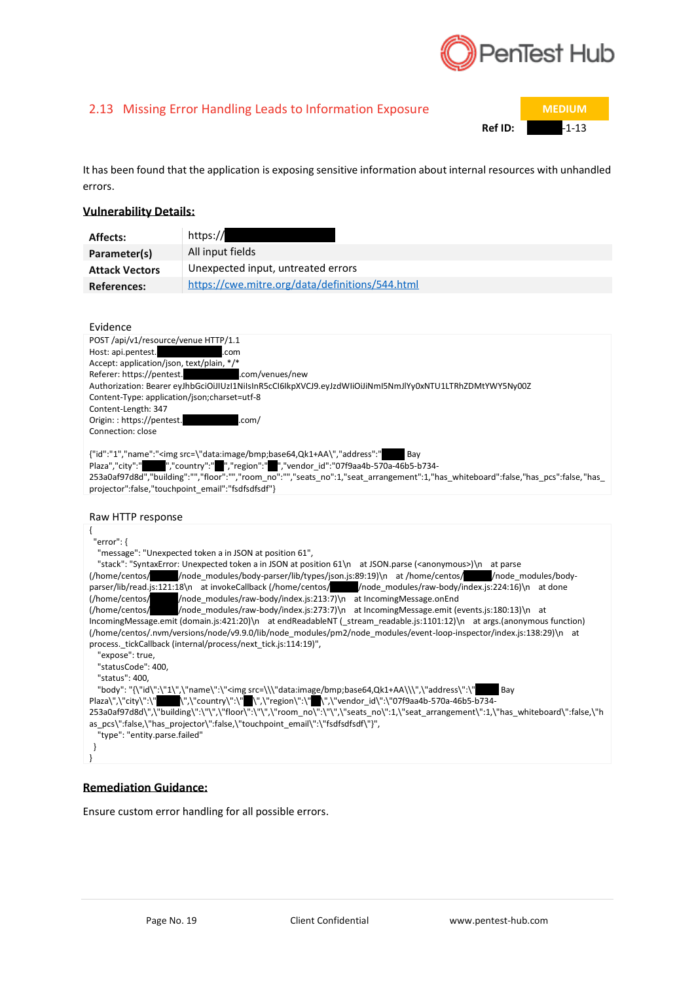

# <span id="page-18-0"></span>2.13 Missing Error Handling Leads to Information Exposure **MEDIUM**

**Ref ID:**  $\begin{array}{|c|c|c|c|}\n\hline\n\text{Ref ID:} & -1-13\n\end{array}$ 

It has been found that the application is exposing sensitive information about internal resources with unhandled errors.

## **Vulnerability Details:**

| Affects:              | https://                                        |
|-----------------------|-------------------------------------------------|
| Parameter(s)          | All input fields                                |
| <b>Attack Vectors</b> | Unexpected input, untreated errors              |
| <b>References:</b>    | https://cwe.mitre.org/data/definitions/544.html |

| Evidence                                                                                                                                                                                                                                                                                                                                                            |
|---------------------------------------------------------------------------------------------------------------------------------------------------------------------------------------------------------------------------------------------------------------------------------------------------------------------------------------------------------------------|
| POST /api/v1/resource/venue HTTP/1.1<br>Host: api.pentest.<br>.com<br>Accept: application/json, text/plain, */*<br>Referer: https://pentest.<br>.com/venues/new<br>Authorization: Bearer eyJhbGciOiJIUzI1NilsInR5cCI6IkpXVCJ9.eyJzdWIiOiJiNmI5NmJlYy0xNTU1LTRhZDMtYWY5Ny00Z<br>Content-Type: application/json; charset=utf-8<br>Content-Length: 347                 |
| .com/<br>Origin::https://pentest.                                                                                                                                                                                                                                                                                                                                   |
| Connection: close                                                                                                                                                                                                                                                                                                                                                   |
| {"id":"1","name":" <img bay<br="" src='\"data:image/bmp;base64.Qk1+AA\","address":"'/> Plaza","city":" ","country":" ","region":" ","vendor id":"07f9aa4b-570a-46b5-b734-<br>253a0af97d8d","building":"","floor":"","room no":"","seats no":1,"seat arrangement":1,"has whiteboard":false,"has pcs":false,"has<br>projector":false,"touchpoint email":"fsdfsdfsdf"} |
|                                                                                                                                                                                                                                                                                                                                                                     |
| Raw HTTP response                                                                                                                                                                                                                                                                                                                                                   |
|                                                                                                                                                                                                                                                                                                                                                                     |
| "error": $\{$                                                                                                                                                                                                                                                                                                                                                       |

| "message": "Unexpected token a in JSON at position 61",                                                                               |
|---------------------------------------------------------------------------------------------------------------------------------------|
| "stack": "SyntaxError: Unexpected token a in JSON at position $61\n$ at JSON parse ( <anonymous>)<math>\n</math> at parse</anonymous> |
| (/home/centos/ /node modules/body-parser/lib/types/json.js:89:19)\n at /home/centos/ /node modules/body-                              |
| parser/lib/read.js:121:18\n at invokeCallback (/home/centos/ /node_modules/raw-body/index.js:224:16)\n at done                        |
| (/home/centos/ / /node modules/raw-body/index.js:213:7)\n at IncomingMessage.onEnd                                                    |
| /node modules/raw-body/index.js:273:7)\n at IncomingMessage.emit (events.js:180:13)\n at<br>(/home/centos/                            |
| IncomingMessage.emit (domain.js:421:20)\n at endReadableNT (_stream_readable.js:1101:12)\n at args.(anonymous function)               |
| (/home/centos/.nvm/versions/node/v9.9.0/lib/node modules/pm2/node modules/event-loop-inspector/index.js:138:29)\n at                  |
| process. tickCallback (internal/process/next tick.js:114:19)",                                                                        |
| "expose": true,                                                                                                                       |
| "statusCode": 400.                                                                                                                    |
| "status": 400,                                                                                                                        |
| "body": "{\"id\":\"1\",\"name\":\" <img src='\\\"data:image/bmp;base64,Qk1+AA\\\",\"address\":\"&lt;br'/> <b>Bay</b>                  |
| Plaza\",\"city\":\" \",\"country\":\" \",\"region\":\" \",\"vendor_id\":\"07f9aa4b-570a-46b5-b734-                                    |
| 253a0af97d8d\",\"building\":\"\",\"floor\":\"\",\"room_no\":\"\",\"seats_no\":1,\"seat_arrangement\":1,\"has_whiteboard\":false,\"h   |
| as pcs\":false,\"has projector\":false,\"touchpoint email\":\"fsdfsdfsdf\"}",                                                         |
| "type": "entity.parse.failed"                                                                                                         |
|                                                                                                                                       |
|                                                                                                                                       |

# **Remediation Guidance:**

Ensure custom error handling for all possible errors.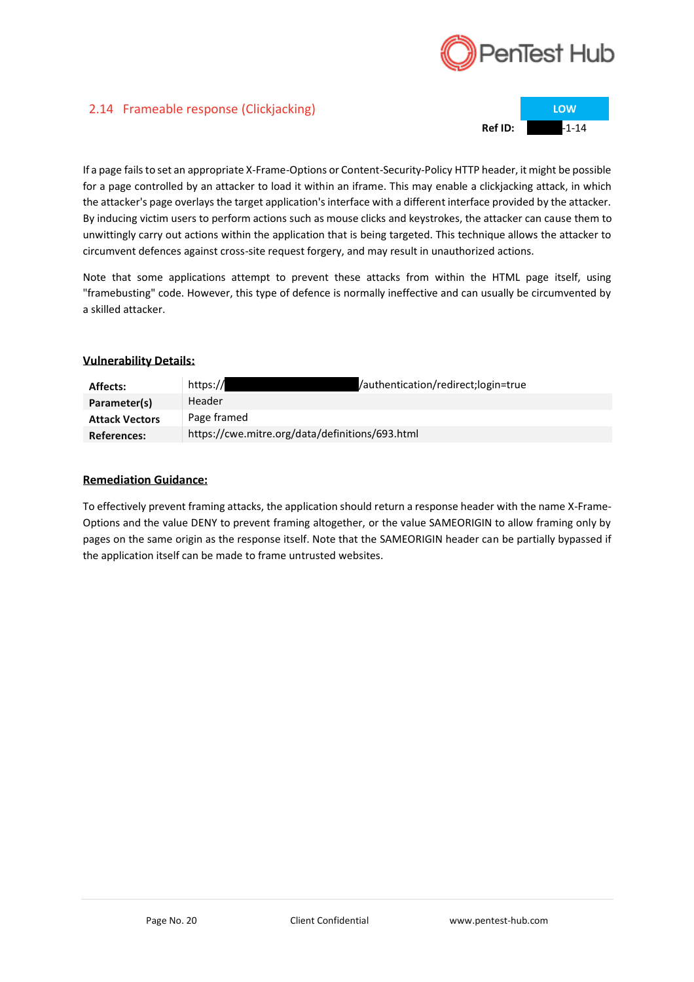

# <span id="page-19-0"></span>2.14 Frameable response (Clickjacking) **LOW**

**Ref ID:**  $\sqrt{1-1.14}$ 

If a page fails to set an appropriate X-Frame-Options or Content-Security-Policy HTTP header, it might be possible for a page controlled by an attacker to load it within an iframe. This may enable a clickjacking attack, in which the attacker's page overlays the target application's interface with a different interface provided by the attacker. By inducing victim users to perform actions such as mouse clicks and keystrokes, the attacker can cause them to unwittingly carry out actions within the application that is being targeted. This technique allows the attacker to circumvent defences against cross-site request forgery, and may result in unauthorized actions.

Note that some applications attempt to prevent these attacks from within the HTML page itself, using "framebusting" code. However, this type of defence is normally ineffective and can usually be circumvented by a skilled attacker.

#### **Vulnerability Details:**

| Affects:              | https://<br>/authentication/redirect;login=true |
|-----------------------|-------------------------------------------------|
| Parameter(s)          | Header                                          |
| <b>Attack Vectors</b> | Page framed                                     |
| <b>References:</b>    | https://cwe.mitre.org/data/definitions/693.html |

#### **Remediation Guidance:**

To effectively prevent framing attacks, the application should return a response header with the name X-Frame-Options and the value DENY to prevent framing altogether, or the value SAMEORIGIN to allow framing only by pages on the same origin as the response itself. Note that the SAMEORIGIN header can be partially bypassed if the application itself can be made to frame untrusted websites.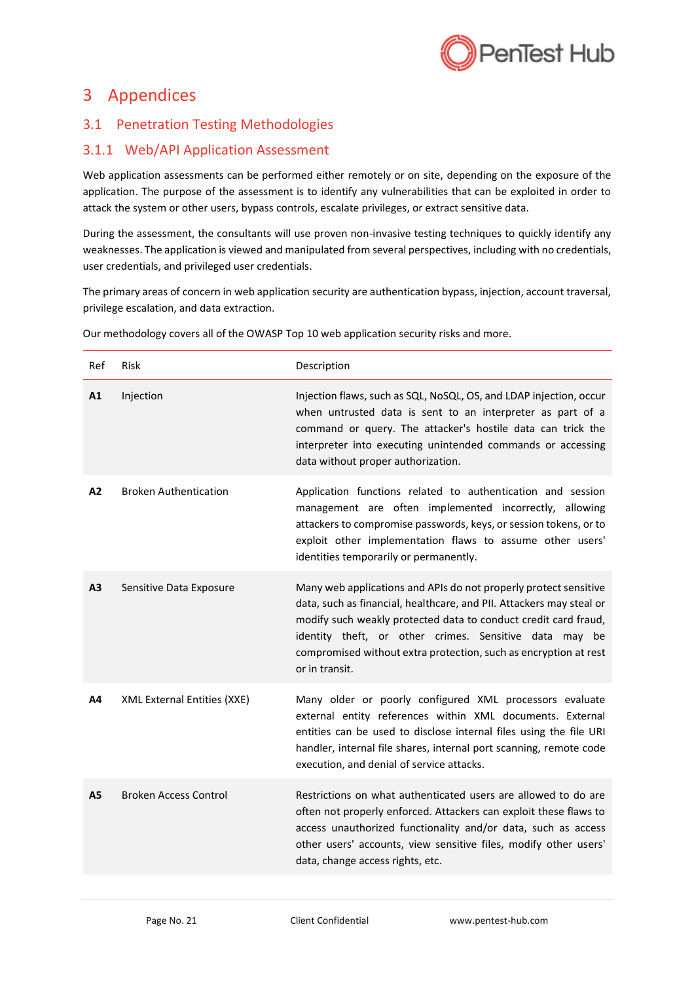

# <span id="page-20-0"></span>3 Appendices

# <span id="page-20-1"></span>3.1 Penetration Testing Methodologies

# <span id="page-20-2"></span>3.1.1 Web/API Application Assessment

Web application assessments can be performed either remotely or on site, depending on the exposure of the application. The purpose of the assessment is to identify any vulnerabilities that can be exploited in order to attack the system or other users, bypass controls, escalate privileges, or extract sensitive data.

During the assessment, the consultants will use proven non-invasive testing techniques to quickly identify any weaknesses. The application is viewed and manipulated from several perspectives, including with no credentials, user credentials, and privileged user credentials.

The primary areas of concern in web application security are authentication bypass, injection, account traversal, privilege escalation, and data extraction.

| Ref            | <b>Risk</b>                  | Description                                                                                                                                                                                                                                                                                                                                                 |
|----------------|------------------------------|-------------------------------------------------------------------------------------------------------------------------------------------------------------------------------------------------------------------------------------------------------------------------------------------------------------------------------------------------------------|
| A1             | Injection                    | Injection flaws, such as SQL, NoSQL, OS, and LDAP injection, occur<br>when untrusted data is sent to an interpreter as part of a<br>command or query. The attacker's hostile data can trick the<br>interpreter into executing unintended commands or accessing<br>data without proper authorization.                                                        |
| A2             | <b>Broken Authentication</b> | Application functions related to authentication and session<br>management are often implemented incorrectly, allowing<br>attackers to compromise passwords, keys, or session tokens, or to<br>exploit other implementation flaws to assume other users'<br>identities temporarily or permanently.                                                           |
| A <sub>3</sub> | Sensitive Data Exposure      | Many web applications and APIs do not properly protect sensitive<br>data, such as financial, healthcare, and PII. Attackers may steal or<br>modify such weakly protected data to conduct credit card fraud,<br>identity theft, or other crimes. Sensitive data may be<br>compromised without extra protection, such as encryption at rest<br>or in transit. |
| A4             | XML External Entities (XXE)  | Many older or poorly configured XML processors evaluate<br>external entity references within XML documents. External<br>entities can be used to disclose internal files using the file URI<br>handler, internal file shares, internal port scanning, remote code<br>execution, and denial of service attacks.                                               |
| A <sub>5</sub> | <b>Broken Access Control</b> | Restrictions on what authenticated users are allowed to do are<br>often not properly enforced. Attackers can exploit these flaws to<br>access unauthorized functionality and/or data, such as access<br>other users' accounts, view sensitive files, modify other users'<br>data, change access rights, etc.                                                |

Our methodology covers all of the OWASP Top 10 web application security risks and more.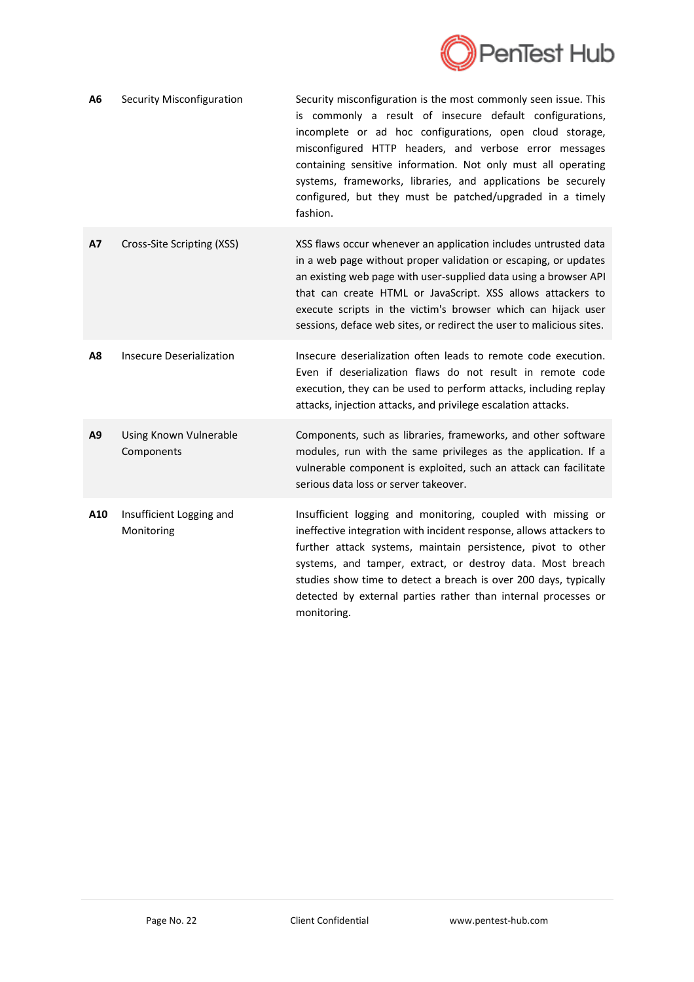

| А6        | Security Misconfiguration  | Security misconfiguration is the most commonly seen issue. This<br>is commonly a result of insecure default configurations,<br>incomplete or ad hoc configurations, open cloud storage,<br>misconfigured HTTP headers, and verbose error messages<br>containing sensitive information. Not only must all operating<br>systems, frameworks, libraries, and applications be securely<br>configured, but they must be patched/upgraded in a timely<br>fashion. |
|-----------|----------------------------|-------------------------------------------------------------------------------------------------------------------------------------------------------------------------------------------------------------------------------------------------------------------------------------------------------------------------------------------------------------------------------------------------------------------------------------------------------------|
| <b>A7</b> | Cross-Site Scripting (XSS) | XSS flaws occur whenever an application includes untrusted data<br>in a web page without proper validation or escaping, or updates<br>an existing web page with user-supplied data using a browser API<br>that can create HTML or JavaScript. XSS allows attackers to<br>execute scripts in the victim's browser which can hijack user<br>sessions, deface web sites, or redirect the user to malicious sites.                                              |
| Α8        | Insecure Deserialization   | Insecure deserialization often leads to remote code execution.<br>Even if deserialization flaws do not result in remote code                                                                                                                                                                                                                                                                                                                                |

- execution, they can be used to perform attacks, including replay attacks, injection attacks, and privilege escalation attacks. **A9** Using Known Vulnerable Components Components, such as libraries, frameworks, and other software
	- modules, run with the same privileges as the application. If a vulnerable component is exploited, such an attack can facilitate serious data loss or server takeover.
- **A10** Insufficient Logging and Monitoring Insufficient logging and monitoring, coupled with missing or ineffective integration with incident response, allows attackers to further attack systems, maintain persistence, pivot to other systems, and tamper, extract, or destroy data. Most breach studies show time to detect a breach is over 200 days, typically detected by external parties rather than internal processes or monitoring.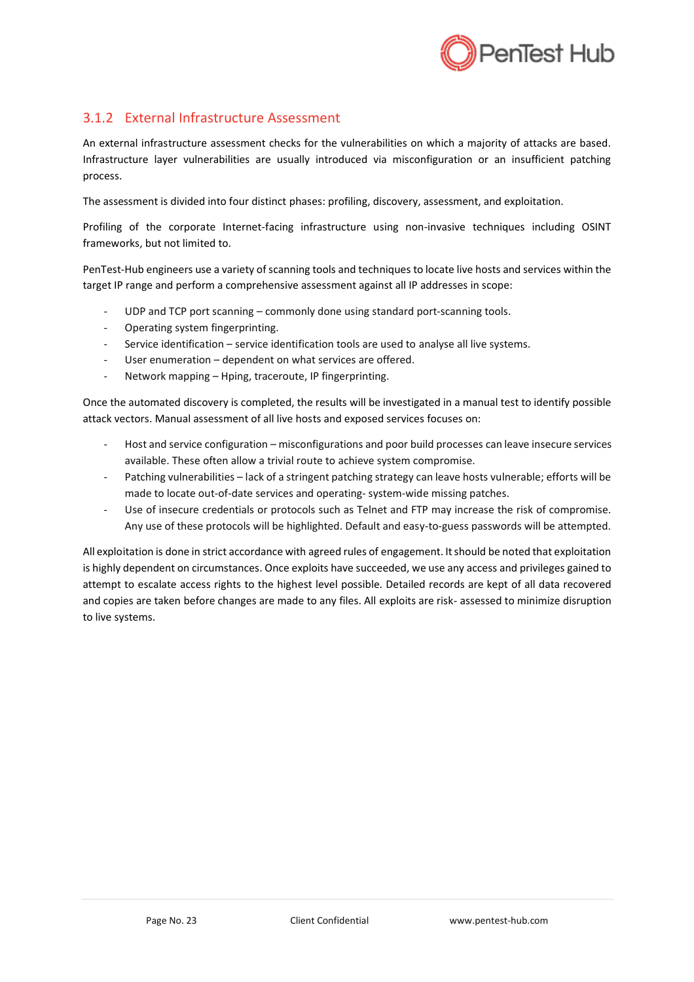

# <span id="page-22-0"></span>3.1.2 External Infrastructure Assessment

An external infrastructure assessment checks for the vulnerabilities on which a majority of attacks are based. Infrastructure layer vulnerabilities are usually introduced via misconfiguration or an insufficient patching process.

The assessment is divided into four distinct phases: profiling, discovery, assessment, and exploitation.

Profiling of the corporate Internet-facing infrastructure using non-invasive techniques including OSINT frameworks, but not limited to.

PenTest-Hub engineers use a variety of scanning tools and techniques to locate live hosts and services within the target IP range and perform a comprehensive assessment against all IP addresses in scope:

- UDP and TCP port scanning commonly done using standard port-scanning tools.
- Operating system fingerprinting.
- Service identification service identification tools are used to analyse all live systems.
- User enumeration dependent on what services are offered.
- Network mapping Hping, traceroute, IP fingerprinting.

Once the automated discovery is completed, the results will be investigated in a manual test to identify possible attack vectors. Manual assessment of all live hosts and exposed services focuses on:

- Host and service configuration misconfigurations and poor build processes can leave insecure services available. These often allow a trivial route to achieve system compromise.
- Patching vulnerabilities lack of a stringent patching strategy can leave hosts vulnerable; efforts will be made to locate out-of-date services and operating- system-wide missing patches.
- Use of insecure credentials or protocols such as Telnet and FTP may increase the risk of compromise. Any use of these protocols will be highlighted. Default and easy-to-guess passwords will be attempted.

All exploitation is done in strict accordance with agreed rules of engagement. It should be noted that exploitation is highly dependent on circumstances. Once exploits have succeeded, we use any access and privileges gained to attempt to escalate access rights to the highest level possible. Detailed records are kept of all data recovered and copies are taken before changes are made to any files. All exploits are risk- assessed to minimize disruption to live systems.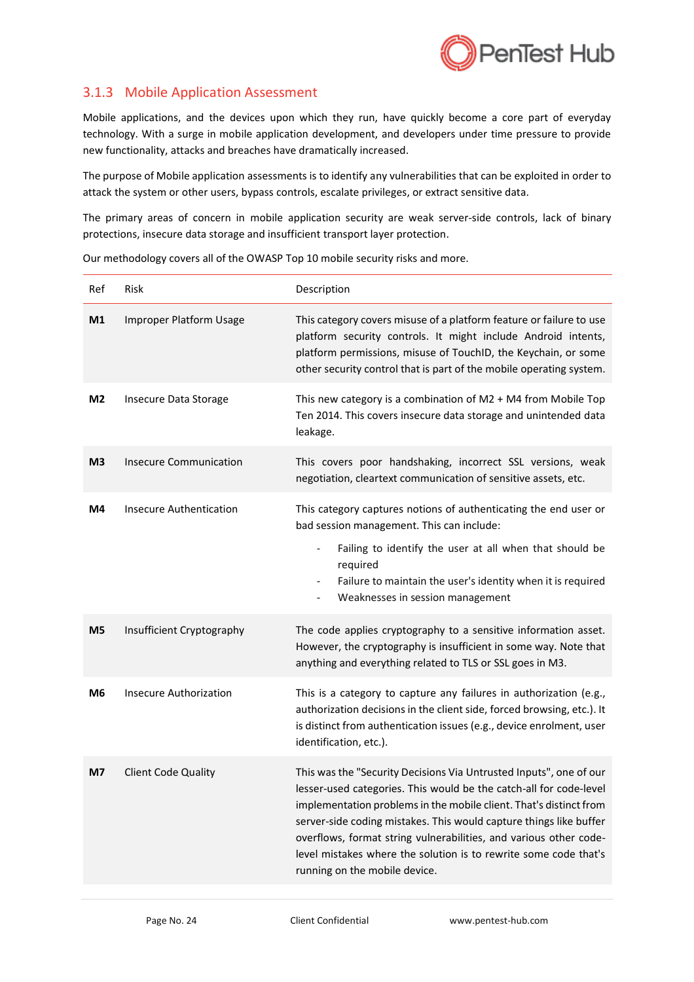

# <span id="page-23-0"></span>3.1.3 Mobile Application Assessment

Mobile applications, and the devices upon which they run, have quickly become a core part of everyday technology. With a surge in mobile application development, and developers under time pressure to provide new functionality, attacks and breaches have dramatically increased.

The purpose of Mobile application assessments is to identify any vulnerabilities that can be exploited in order to attack the system or other users, bypass controls, escalate privileges, or extract sensitive data.

The primary areas of concern in mobile application security are weak server-side controls, lack of binary protections, insecure data storage and insufficient transport layer protection.

| Ref            | Risk                           | Description                                                                                                                                                                                                                                                                                                                                                                                                                                                    |
|----------------|--------------------------------|----------------------------------------------------------------------------------------------------------------------------------------------------------------------------------------------------------------------------------------------------------------------------------------------------------------------------------------------------------------------------------------------------------------------------------------------------------------|
| M1             | <b>Improper Platform Usage</b> | This category covers misuse of a platform feature or failure to use<br>platform security controls. It might include Android intents,<br>platform permissions, misuse of TouchID, the Keychain, or some<br>other security control that is part of the mobile operating system.                                                                                                                                                                                  |
| M <sub>2</sub> | Insecure Data Storage          | This new category is a combination of $M2 + M4$ from Mobile Top<br>Ten 2014. This covers insecure data storage and unintended data<br>leakage.                                                                                                                                                                                                                                                                                                                 |
| M <sub>3</sub> | Insecure Communication         | This covers poor handshaking, incorrect SSL versions, weak<br>negotiation, cleartext communication of sensitive assets, etc.                                                                                                                                                                                                                                                                                                                                   |
| M4             | <b>Insecure Authentication</b> | This category captures notions of authenticating the end user or<br>bad session management. This can include:<br>Failing to identify the user at all when that should be<br>$\overline{\phantom{a}}$<br>required<br>Failure to maintain the user's identity when it is required<br>$\overline{\phantom{a}}$<br>Weaknesses in session management<br>$\overline{\phantom{a}}$                                                                                    |
| M5             | Insufficient Cryptography      | The code applies cryptography to a sensitive information asset.<br>However, the cryptography is insufficient in some way. Note that<br>anything and everything related to TLS or SSL goes in M3.                                                                                                                                                                                                                                                               |
| M6             | Insecure Authorization         | This is a category to capture any failures in authorization (e.g.,<br>authorization decisions in the client side, forced browsing, etc.). It<br>is distinct from authentication issues (e.g., device enrolment, user<br>identification, etc.).                                                                                                                                                                                                                 |
| M7             | Client Code Quality            | This was the "Security Decisions Via Untrusted Inputs", one of our<br>lesser-used categories. This would be the catch-all for code-level<br>implementation problems in the mobile client. That's distinct from<br>server-side coding mistakes. This would capture things like buffer<br>overflows, format string vulnerabilities, and various other code-<br>level mistakes where the solution is to rewrite some code that's<br>running on the mobile device. |

Our methodology covers all of the OWASP Top 10 mobile security risks and more.